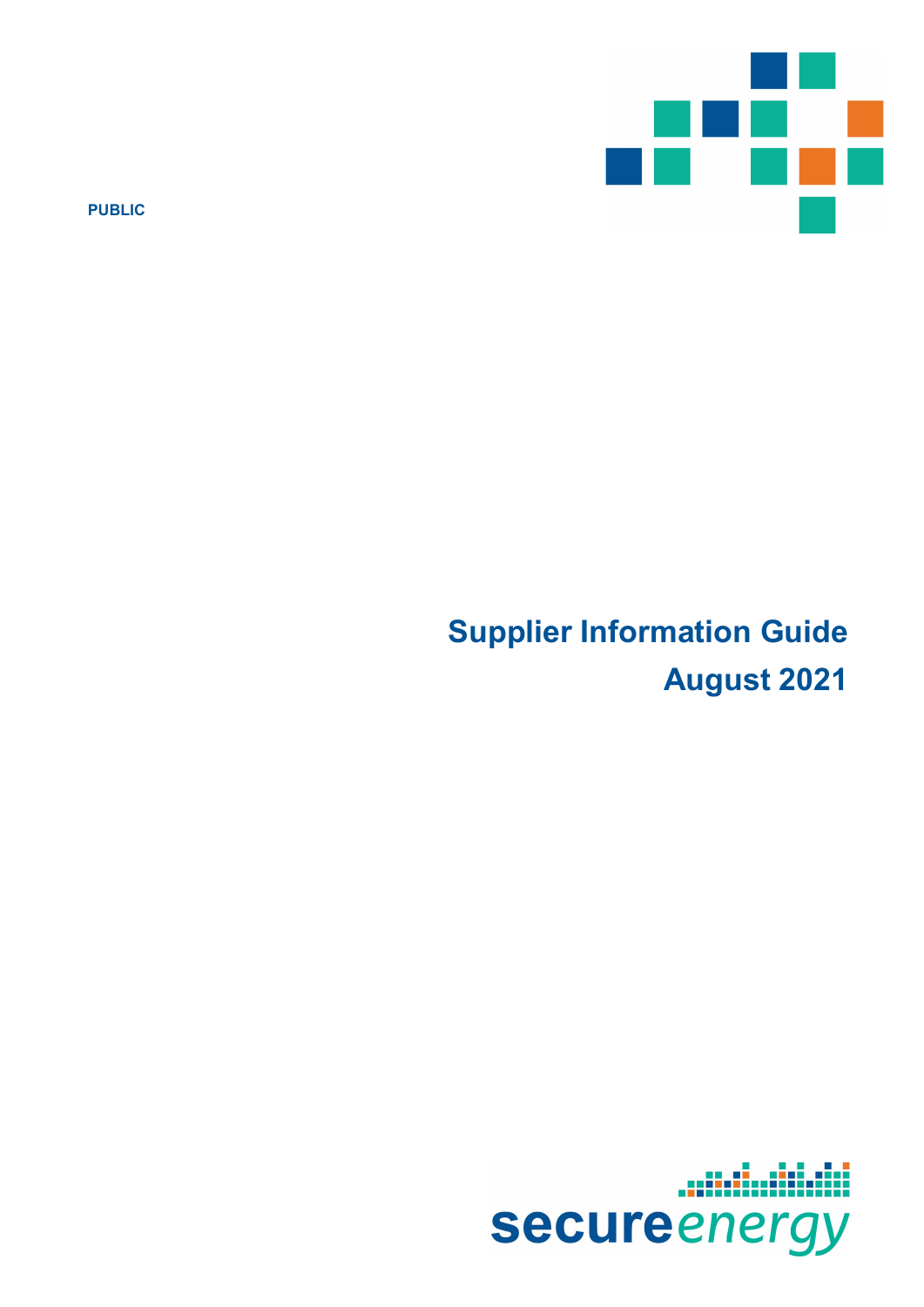

PUBLIC

# Supplier Information Guide August 2021

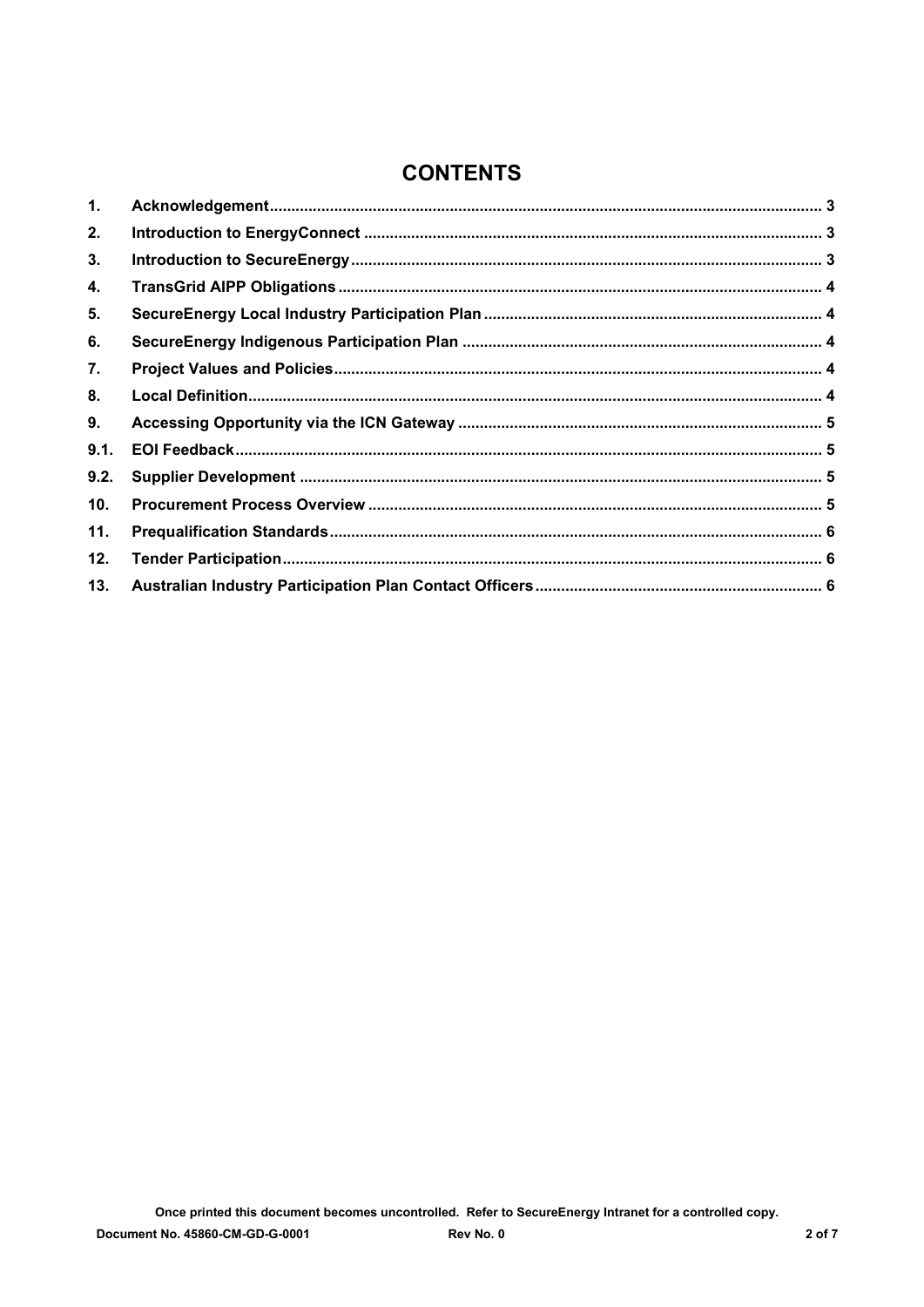# **CONTENTS**

| 1.   |  |
|------|--|
| 2.   |  |
| 3.   |  |
| 4.   |  |
| 5.   |  |
| 6.   |  |
| 7.   |  |
| 8.   |  |
| 9.   |  |
| 9.1. |  |
| 9.2. |  |
| 10.  |  |
| 11.  |  |
| 12.  |  |
| 13.  |  |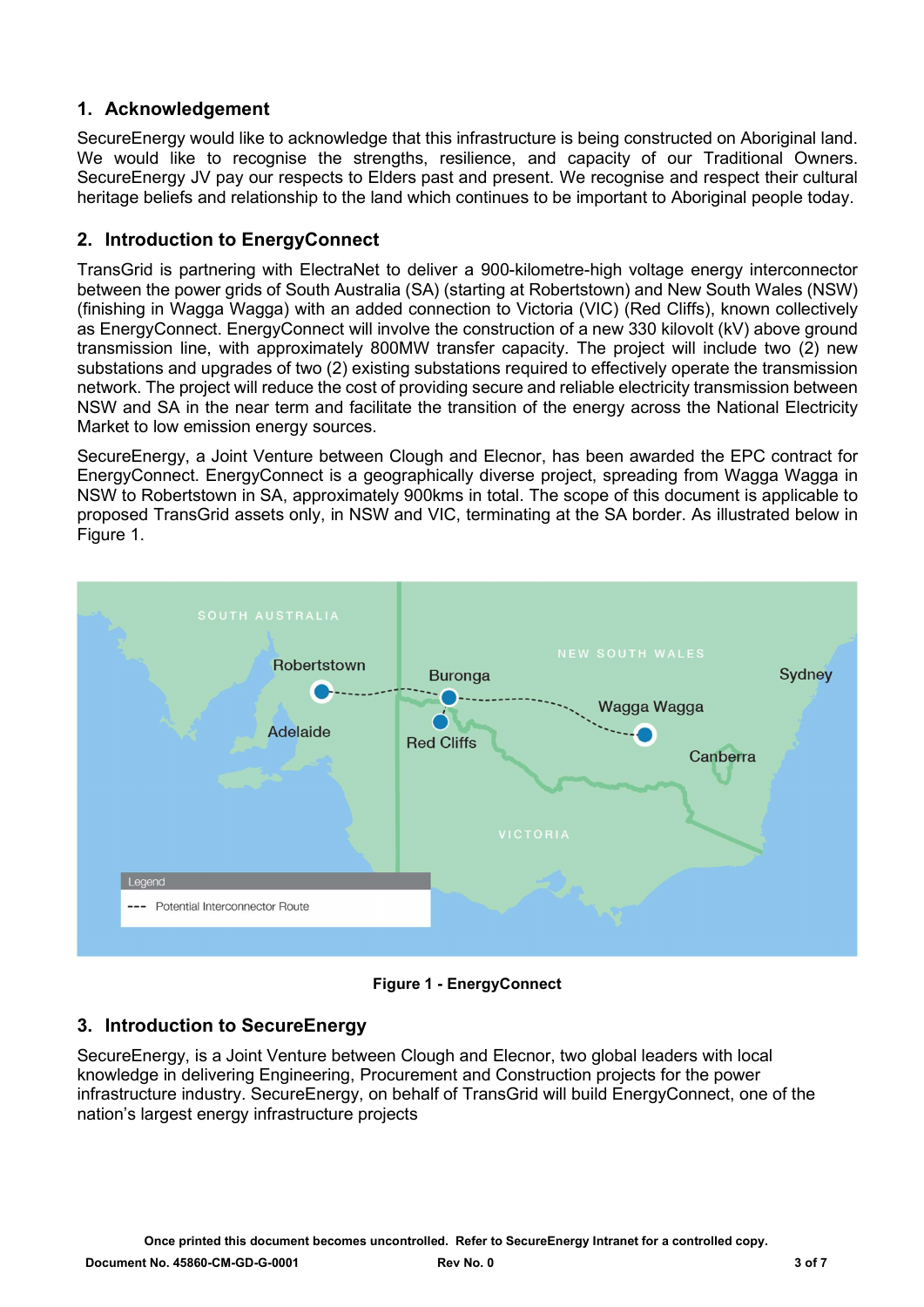# 1. Acknowledgement

SecureEnergy would like to acknowledge that this infrastructure is being constructed on Aboriginal land. We would like to recognise the strengths, resilience, and capacity of our Traditional Owners. SecureEnergy JV pay our respects to Elders past and present. We recognise and respect their cultural heritage beliefs and relationship to the land which continues to be important to Aboriginal people today.

#### 2. Introduction to EnergyConnect

TransGrid is partnering with ElectraNet to deliver a 900-kilometre-high voltage energy interconnector between the power grids of South Australia (SA) (starting at Robertstown) and New South Wales (NSW) (finishing in Wagga Wagga) with an added connection to Victoria (VIC) (Red Cliffs), known collectively as EnergyConnect. EnergyConnect will involve the construction of a new 330 kilovolt (kV) above ground transmission line, with approximately 800MW transfer capacity. The project will include two (2) new substations and upgrades of two (2) existing substations required to effectively operate the transmission network. The project will reduce the cost of providing secure and reliable electricity transmission between NSW and SA in the near term and facilitate the transition of the energy across the National Electricity Market to low emission energy sources.

SecureEnergy, a Joint Venture between Clough and Elecnor, has been awarded the EPC contract for EnergyConnect. EnergyConnect is a geographically diverse project, spreading from Wagga Wagga in NSW to Robertstown in SA, approximately 900kms in total. The scope of this document is applicable to proposed TransGrid assets only, in NSW and VIC, terminating at the SA border. As illustrated below in Figure 1.



Figure 1 - EnergyConnect

# 3. Introduction to SecureEnergy

SecureEnergy, is a Joint Venture between Clough and Elecnor, two global leaders with local knowledge in delivering Engineering, Procurement and Construction projects for the power infrastructure industry. SecureEnergy, on behalf of TransGrid will build EnergyConnect, one of the nation's largest energy infrastructure projects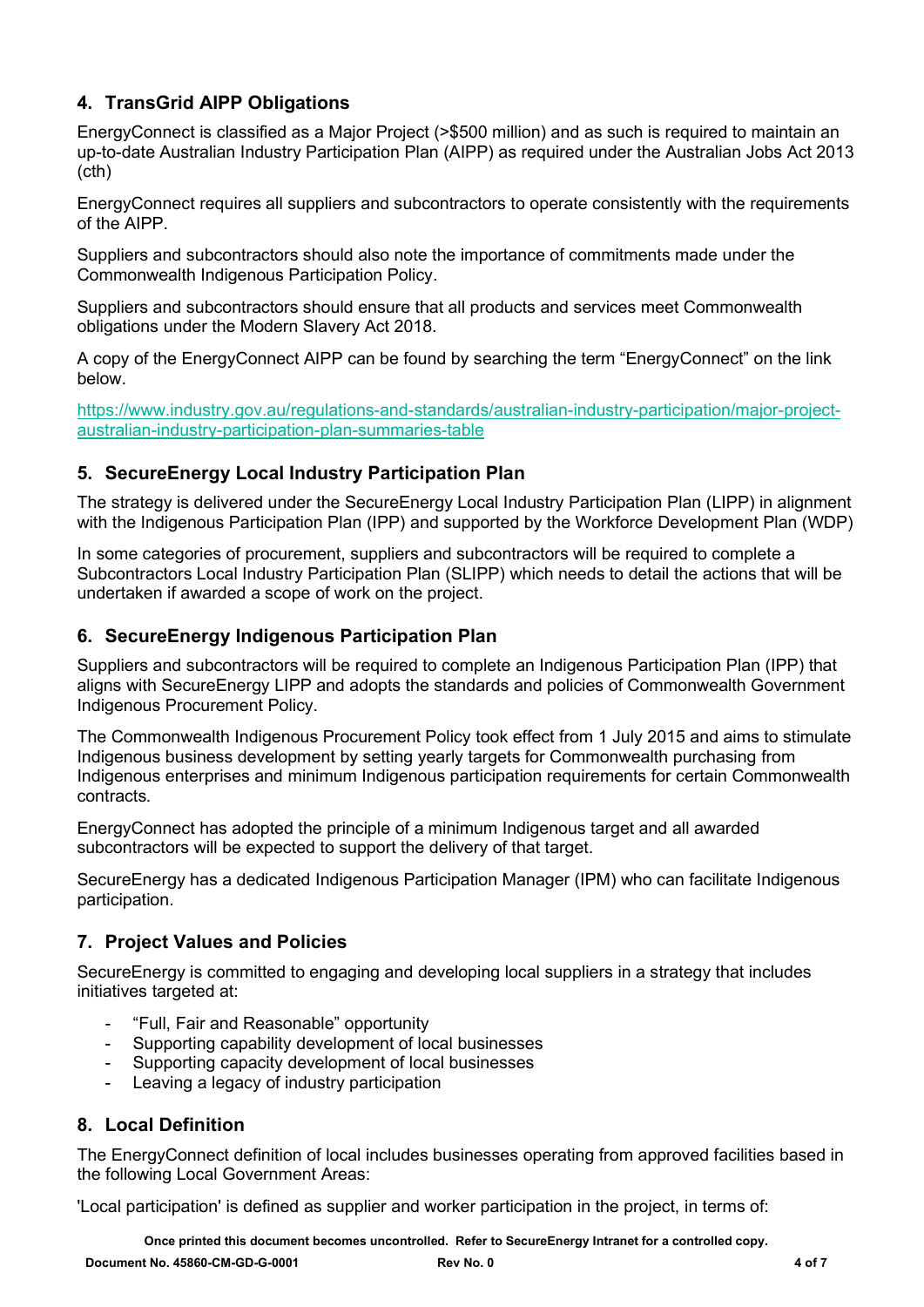# 4. TransGrid AIPP Obligations

EnergyConnect is classified as a Major Project (>\$500 million) and as such is required to maintain an up-to-date Australian Industry Participation Plan (AIPP) as required under the Australian Jobs Act 2013 (cth)

EnergyConnect requires all suppliers and subcontractors to operate consistently with the requirements of the AIPP.

Suppliers and subcontractors should also note the importance of commitments made under the Commonwealth Indigenous Participation Policy.

Suppliers and subcontractors should ensure that all products and services meet Commonwealth obligations under the Modern Slavery Act 2018.

A copy of the EnergyConnect AIPP can be found by searching the term "EnergyConnect" on the link below.

https://www.industry.gov.au/regulations-and-standards/australian-industry-participation/major-projectaustralian-industry-participation-plan-summaries-table

# 5. SecureEnergy Local Industry Participation Plan

The strategy is delivered under the SecureEnergy Local Industry Participation Plan (LIPP) in alignment with the Indigenous Participation Plan (IPP) and supported by the Workforce Development Plan (WDP)

In some categories of procurement, suppliers and subcontractors will be required to complete a Subcontractors Local Industry Participation Plan (SLIPP) which needs to detail the actions that will be undertaken if awarded a scope of work on the project.

# 6. SecureEnergy Indigenous Participation Plan

Suppliers and subcontractors will be required to complete an Indigenous Participation Plan (IPP) that aligns with SecureEnergy LIPP and adopts the standards and policies of Commonwealth Government Indigenous Procurement Policy.

The Commonwealth Indigenous Procurement Policy took effect from 1 July 2015 and aims to stimulate Indigenous business development by setting yearly targets for Commonwealth purchasing from Indigenous enterprises and minimum Indigenous participation requirements for certain Commonwealth contracts.

EnergyConnect has adopted the principle of a minimum Indigenous target and all awarded subcontractors will be expected to support the delivery of that target.

SecureEnergy has a dedicated Indigenous Participation Manager (IPM) who can facilitate Indigenous participation.

# 7. Project Values and Policies

SecureEnergy is committed to engaging and developing local suppliers in a strategy that includes initiatives targeted at:

- "Full, Fair and Reasonable" opportunity
- Supporting capability development of local businesses
- Supporting capacity development of local businesses
- Leaving a legacy of industry participation

# 8. Local Definition

The EnergyConnect definition of local includes businesses operating from approved facilities based in the following Local Government Areas:

'Local participation' is defined as supplier and worker participation in the project, in terms of:

Once printed this document becomes uncontrolled. Refer to SecureEnergy Intranet for a controlled copy.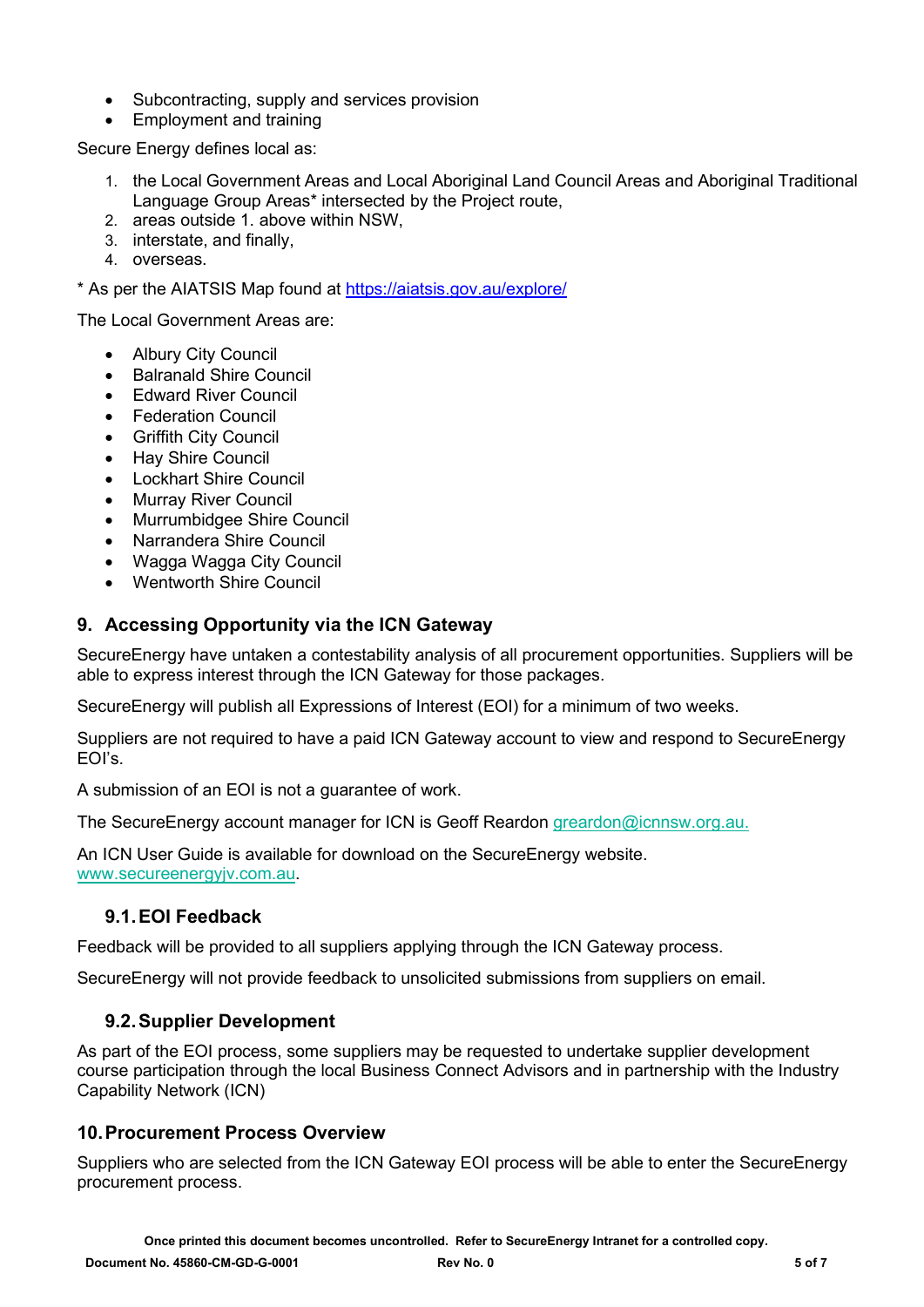- Subcontracting, supply and services provision
- Employment and training

Secure Energy defines local as:

- 1. the Local Government Areas and Local Aboriginal Land Council Areas and Aboriginal Traditional Language Group Areas\* intersected by the Project route,
- 2. areas outside 1. above within NSW,
- 3. interstate, and finally,
- 4. overseas.

\* As per the AIATSIS Map found at https://aiatsis.gov.au/explore/

The Local Government Areas are:

- Albury City Council
- Balranald Shire Council
- Edward River Council
- Federation Council
- Griffith City Council
- Hay Shire Council
- Lockhart Shire Council
- Murray River Council
- Murrumbidgee Shire Council
- Narrandera Shire Council
- Wagga Wagga City Council
- Wentworth Shire Council

#### 9. Accessing Opportunity via the ICN Gateway

SecureEnergy have untaken a contestability analysis of all procurement opportunities. Suppliers will be able to express interest through the ICN Gateway for those packages.

SecureEnergy will publish all Expressions of Interest (EOI) for a minimum of two weeks.

Suppliers are not required to have a paid ICN Gateway account to view and respond to SecureEnergy EOI's.

A submission of an EOI is not a guarantee of work.

The SecureEnergy account manager for ICN is Geoff Reardon greardon@icnnsw.org.au.

An ICN User Guide is available for download on the SecureEnergy website. www.secureenergyjv.com.au.

#### 9.1. EOI Feedback

Feedback will be provided to all suppliers applying through the ICN Gateway process.

SecureEnergy will not provide feedback to unsolicited submissions from suppliers on email.

#### 9.2. Supplier Development

As part of the EOI process, some suppliers may be requested to undertake supplier development course participation through the local Business Connect Advisors and in partnership with the Industry Capability Network (ICN)

#### 10. Procurement Process Overview

Suppliers who are selected from the ICN Gateway EOI process will be able to enter the SecureEnergy procurement process.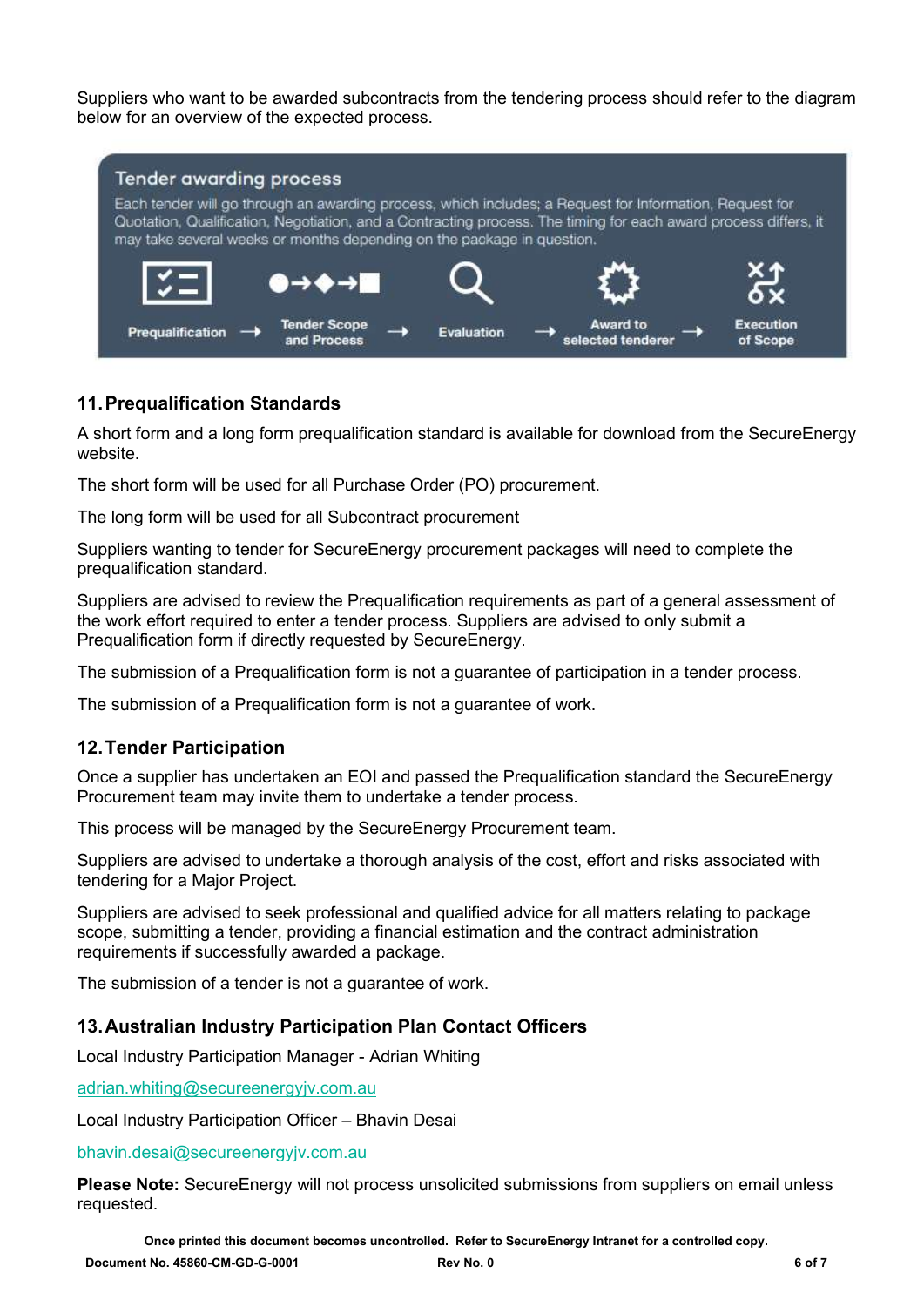Suppliers who want to be awarded subcontracts from the tendering process should refer to the diagram below for an overview of the expected process.



# 11. Prequalification Standards

A short form and a long form prequalification standard is available for download from the SecureEnergy website.

The short form will be used for all Purchase Order (PO) procurement.

The long form will be used for all Subcontract procurement

Suppliers wanting to tender for SecureEnergy procurement packages will need to complete the prequalification standard.

Suppliers are advised to review the Prequalification requirements as part of a general assessment of the work effort required to enter a tender process. Suppliers are advised to only submit a Prequalification form if directly requested by SecureEnergy.

The submission of a Prequalification form is not a guarantee of participation in a tender process.

The submission of a Prequalification form is not a guarantee of work.

#### 12. Tender Participation

Once a supplier has undertaken an EOI and passed the Prequalification standard the SecureEnergy Procurement team may invite them to undertake a tender process.

This process will be managed by the SecureEnergy Procurement team.

Suppliers are advised to undertake a thorough analysis of the cost, effort and risks associated with tendering for a Major Project.

Suppliers are advised to seek professional and qualified advice for all matters relating to package scope, submitting a tender, providing a financial estimation and the contract administration requirements if successfully awarded a package.

The submission of a tender is not a guarantee of work.

#### 13. Australian Industry Participation Plan Contact Officers

Local Industry Participation Manager - Adrian Whiting

adrian.whiting@secureenergyjv.com.au

Local Industry Participation Officer – Bhavin Desai

bhavin.desai@secureenergyjv.com.au

Please Note: SecureEnergy will not process unsolicited submissions from suppliers on email unless requested.

Once printed this document becomes uncontrolled. Refer to SecureEnergy Intranet for a controlled copy.